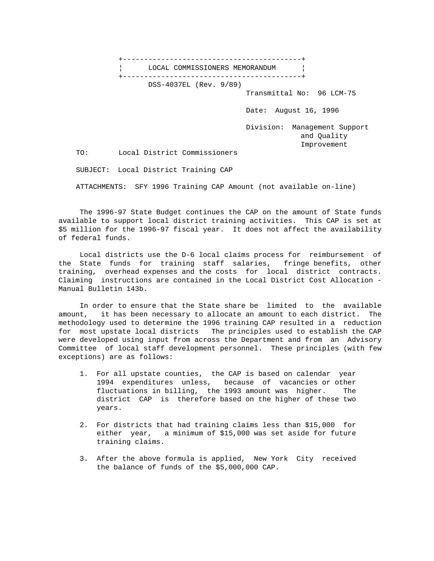+------------------------------------------+ ¦ LOCAL COMMISSIONERS MEMORANDUM ¦ +------------------------------------------+ DSS-4037EL (Rev. 9/89) Transmittal No: 96 LCM-75 Date: August 16, 1996 Division: Management Support and Quality Improvement TO: Local District Commissioners

SUBJECT: Local District Training CAP

ATTACHMENTS: SFY 1996 Training CAP Amount (not available on-line)

 The 1996-97 State Budget continues the CAP on the amount of State funds available to support local district training activities. This CAP is set at \$5 million for the 1996-97 fiscal year. It does not affect the availability of federal funds.

 Local districts use the D-6 local claims process for reimbursement of the State funds for training staff salaries, fringe benefits, other training, overhead expenses and the costs for local district contracts. Claiming instructions are contained in the Local District Cost Allocation - Manual Bulletin 143b.

 In order to ensure that the State share be limited to the available amount, it has been necessary to allocate an amount to each district. The methodology used to determine the 1996 training CAP resulted in a reduction for most upstate local districts The principles used to establish the CAP were developed using input from across the Department and from an Advisory Committee of local staff development personnel. These principles (with few exceptions) are as follows:

- 1. For all upstate counties, the CAP is based on calendar year 1994 expenditures unless, because of vacancies or other fluctuations in billing, the 1993 amount was higher. The district CAP is therefore based on the higher of these two years.
- 2. For districts that had training claims less than \$15,000 for either year, a minimum of \$15,000 was set aside for future training claims.
- 3. After the above formula is applied, New York City received the balance of funds of the \$5,000,000 CAP.